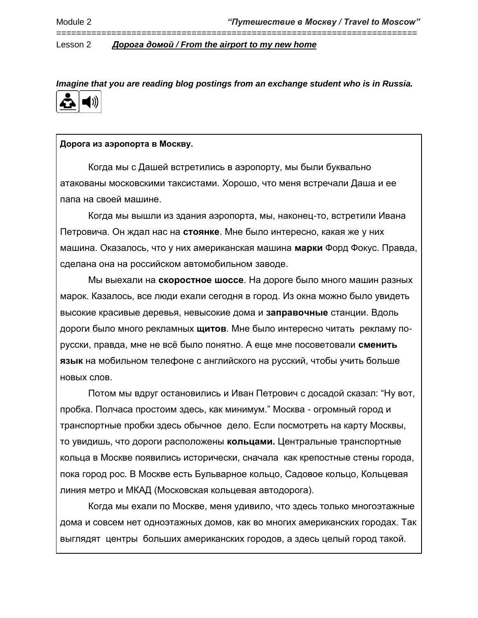*Imagine that you are reading blog postings from an exchange student who is in Russia.*

========================================================================



# **Дорога из аэропорта в Москву.**

Когда мы с Дашей встретились в аэропорту, мы были буквально атакованы московскими таксистами. Хорошо, что меня встречали Даша и ее папа на своей машине.

Когда мы вышли из здания аэропорта, мы, наконец-то, встретили Ивана Петровича. Он ждал нас на **стоянке**. Мне было интересно, какая же у них машина. Оказалось, что у них американская машина **марки** Форд Фокус. Правда, сделана она на российском автомобильном заводе.

Мы выехали на **скоростное шоссе**. На дороге было много машин разных марок. Казалось, все люди ехали сегодня в город. Из окна можно было увидеть высокие красивые деревья, невысокие дома и **заправочные** станции. Вдоль дороги было много рекламных **щитов**. Мне было интересно читать рекламу порусски, правда, мне не всё было понятно. А еще мне посоветовали **сменить язык** на мобильном телефоне с английского на русский, чтобы учить больше новых слов.

Потом мы вдруг остановились и Иван Петрович с досадой сказал: "Ну вот, пробка. Полчаса простоим здесь, как минимум." Москва - огромный город и транспортные пробки здесь обычное дело. Если посмотреть на карту Москвы, то увидишь, что дороги расположены **кольцами.** Центральные транспортные кольца в Москве появились исторически, сначала как крепостные стены города, пока город рос. В Москве есть Бульварное кольцо, Садовое кольцо, Кольцевая линия метро и МКАД (Московская кольцевая автодорога).

Когда мы ехали по Москве, меня удивило, что здесь только многоэтажные дома и совсем нет одноэтажных домов, как во многих американских городах. Так выглядят центры больших американских городов, а здесь целый город такой.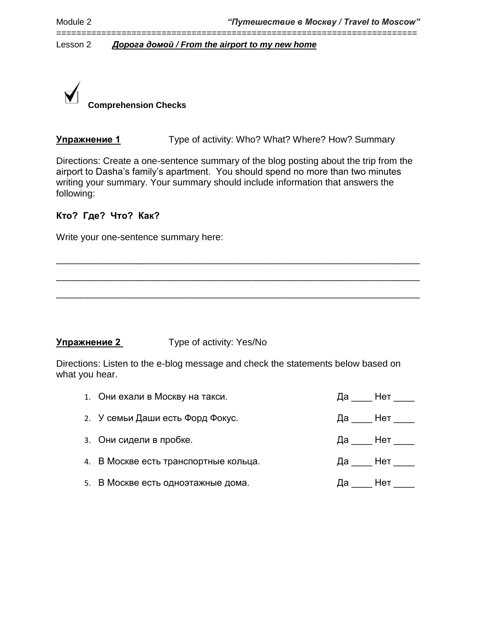

**Упражнение 1** Type of activity: Who? What? Where? How? Summary

Directions: Create a one-sentence summary of the blog posting about the trip from the airport to Dasha's family's apartment. You should spend no more than two minutes writing your summary. Your summary should include information that answers the following:

\_\_\_\_\_\_\_\_\_\_\_\_\_\_\_\_\_\_\_\_\_\_\_\_\_\_\_\_\_\_\_\_\_\_\_\_\_\_\_\_\_\_\_\_\_\_\_\_\_\_\_\_\_\_\_\_\_\_\_\_\_\_\_\_\_\_\_\_\_\_\_\_\_\_\_\_\_\_

\_\_\_\_\_\_\_\_\_\_\_\_\_\_\_\_\_\_\_\_\_\_\_\_\_\_\_\_\_\_\_\_\_\_\_\_\_\_\_\_\_\_\_\_\_\_\_\_\_\_\_\_\_\_\_\_\_\_\_\_\_\_\_\_\_\_\_\_\_\_\_\_\_\_\_\_\_\_

\_\_\_\_\_\_\_\_\_\_\_\_\_\_\_\_\_\_\_\_\_\_\_\_\_\_\_\_\_\_\_\_\_\_\_\_\_\_\_\_\_\_\_\_\_\_\_\_\_\_\_\_\_\_\_\_\_\_\_\_\_\_\_\_\_\_\_\_\_\_\_\_\_\_\_\_\_\_

========================================================================

# **Кто? Где? Что? Как?**

Write your one-sentence summary here:

# **Упражнение 2** Type of activity: Yes/No

Directions: Listen to the e-blog message and check the statements below based on what you hear.

| 1. Они ехали в Москву на такси.       | Да <u>Нет</u> __ |
|---------------------------------------|------------------|
| 2. У семьи Даши есть Форд Фокус.      | Да ___ Нет ____  |
| 3. Они сидели в пробке.               | Да ____ Нет ____ |
| 4. В Москве есть транспортные кольца. | Да <u>Нет</u> __ |
| 5. В Москве есть одноэтажные дома.    | Да <u>Нет —</u>  |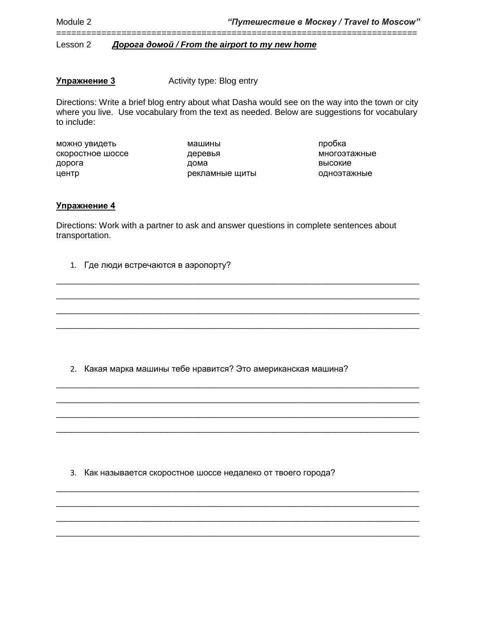**Упражнение 3** Activity type: Blog entry

Directions: Write a brief blog entry about what Dasha would see on the way into the town or city where you live. Use vocabulary from the text as needed. Below are suggestions for vocabulary to include:

========================================================================

можно увидеть скоростное шоссе дорога центр

машины деревья дома рекламные щиты

пробка многоэтажные высокие одноэтажные

# **Упражнение 4**

Directions: Work with a partner to ask and answer questions in complete sentences about transportation.

\_\_\_\_\_\_\_\_\_\_\_\_\_\_\_\_\_\_\_\_\_\_\_\_\_\_\_\_\_\_\_\_\_\_\_\_\_\_\_\_\_\_\_\_\_\_\_\_\_\_\_\_\_\_\_\_\_\_\_\_\_\_\_\_\_\_\_\_\_\_\_\_\_\_\_\_ \_\_\_\_\_\_\_\_\_\_\_\_\_\_\_\_\_\_\_\_\_\_\_\_\_\_\_\_\_\_\_\_\_\_\_\_\_\_\_\_\_\_\_\_\_\_\_\_\_\_\_\_\_\_\_\_\_\_\_\_\_\_\_\_\_\_\_\_\_\_\_\_\_\_\_\_ \_\_\_\_\_\_\_\_\_\_\_\_\_\_\_\_\_\_\_\_\_\_\_\_\_\_\_\_\_\_\_\_\_\_\_\_\_\_\_\_\_\_\_\_\_\_\_\_\_\_\_\_\_\_\_\_\_\_\_\_\_\_\_\_\_\_\_\_\_\_\_\_\_\_\_\_ \_\_\_\_\_\_\_\_\_\_\_\_\_\_\_\_\_\_\_\_\_\_\_\_\_\_\_\_\_\_\_\_\_\_\_\_\_\_\_\_\_\_\_\_\_\_\_\_\_\_\_\_\_\_\_\_\_\_\_\_\_\_\_\_\_\_\_\_\_\_\_\_\_\_\_\_

\_\_\_\_\_\_\_\_\_\_\_\_\_\_\_\_\_\_\_\_\_\_\_\_\_\_\_\_\_\_\_\_\_\_\_\_\_\_\_\_\_\_\_\_\_\_\_\_\_\_\_\_\_\_\_\_\_\_\_\_\_\_\_\_\_\_\_\_\_\_\_\_\_\_\_\_ \_\_\_\_\_\_\_\_\_\_\_\_\_\_\_\_\_\_\_\_\_\_\_\_\_\_\_\_\_\_\_\_\_\_\_\_\_\_\_\_\_\_\_\_\_\_\_\_\_\_\_\_\_\_\_\_\_\_\_\_\_\_\_\_\_\_\_\_\_\_\_\_\_\_\_\_ \_\_\_\_\_\_\_\_\_\_\_\_\_\_\_\_\_\_\_\_\_\_\_\_\_\_\_\_\_\_\_\_\_\_\_\_\_\_\_\_\_\_\_\_\_\_\_\_\_\_\_\_\_\_\_\_\_\_\_\_\_\_\_\_\_\_\_\_\_\_\_\_\_\_\_\_ \_\_\_\_\_\_\_\_\_\_\_\_\_\_\_\_\_\_\_\_\_\_\_\_\_\_\_\_\_\_\_\_\_\_\_\_\_\_\_\_\_\_\_\_\_\_\_\_\_\_\_\_\_\_\_\_\_\_\_\_\_\_\_\_\_\_\_\_\_\_\_\_\_\_\_\_

\_\_\_\_\_\_\_\_\_\_\_\_\_\_\_\_\_\_\_\_\_\_\_\_\_\_\_\_\_\_\_\_\_\_\_\_\_\_\_\_\_\_\_\_\_\_\_\_\_\_\_\_\_\_\_\_\_\_\_\_\_\_\_\_\_\_\_\_\_\_\_\_\_\_\_\_ \_\_\_\_\_\_\_\_\_\_\_\_\_\_\_\_\_\_\_\_\_\_\_\_\_\_\_\_\_\_\_\_\_\_\_\_\_\_\_\_\_\_\_\_\_\_\_\_\_\_\_\_\_\_\_\_\_\_\_\_\_\_\_\_\_\_\_\_\_\_\_\_\_\_\_\_ \_\_\_\_\_\_\_\_\_\_\_\_\_\_\_\_\_\_\_\_\_\_\_\_\_\_\_\_\_\_\_\_\_\_\_\_\_\_\_\_\_\_\_\_\_\_\_\_\_\_\_\_\_\_\_\_\_\_\_\_\_\_\_\_\_\_\_\_\_\_\_\_\_\_\_\_ \_\_\_\_\_\_\_\_\_\_\_\_\_\_\_\_\_\_\_\_\_\_\_\_\_\_\_\_\_\_\_\_\_\_\_\_\_\_\_\_\_\_\_\_\_\_\_\_\_\_\_\_\_\_\_\_\_\_\_\_\_\_\_\_\_\_\_\_\_\_\_\_\_\_\_\_

1. Где люди встречаются в аэропорту?

2. Какая марка машины тебе нравится? Это американская машина?

3. Как называется скоростное шоссе недалеко от твоего города?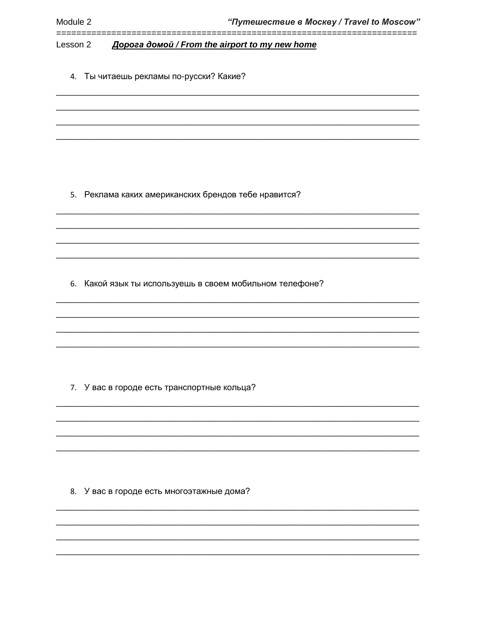Дорога домой / From the airport to my new home Lesson 2

4. Ты читаешь рекламы по-русски? Какие?

5. Реклама каких американских брендов тебе нравится?

6. Какой язык ты используешь в своем мобильном телефоне?

7. У вас в городе есть транспортные кольца?

8. У вас в городе есть многоэтажные дома?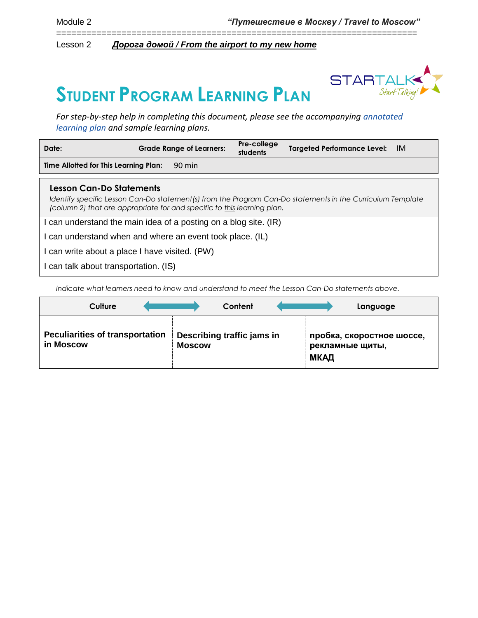======================================================================== Lesson 2 *Дорога домой / From the airport to my new home*

# **STUDENT PROGRAM LEARNING PLAN**



*For step-by-step help in completing this document, please see the accompanying [annotated](https://startalk.umd.edu/public/system/files/resources/studentprogramannotatedlearningplan.pdf)  [learning plan](https://startalk.umd.edu/public/system/files/resources/studentprogramannotatedlearningplan.pdf) and sample learning plans.*

| Date:                                                                                                                                  | <b>Grade Range of Learners:</b> | Pre-college<br>students | <b>Targeted Performance Level:</b> | -IM |
|----------------------------------------------------------------------------------------------------------------------------------------|---------------------------------|-------------------------|------------------------------------|-----|
| Time Allotted for This Learning Plan:<br>90 min                                                                                        |                                 |                         |                                    |     |
| Lesson Can-Do Statements<br>Identify specific Lesson Can-Do statement(s) from the Program Can-Do statements in the Curriculum Template |                                 |                         |                                    |     |

*Identify specific Lesson Can-Do statement(s) from the Program Can-Do statements in the Curriculum Template (column 2) that are appropriate for and specific to this learning plan.*

I can understand the main idea of a posting on a blog site. (IR)

I can understand when and where an event took place. (IL)

I can write about a place I have visited. (PW)

I can talk about transportation. (IS)

*Indicate what learners need to know and understand to meet the Lesson Can-Do statements above.* 

|                                                     | Culture |               | Content                    |      | Language                                     |
|-----------------------------------------------------|---------|---------------|----------------------------|------|----------------------------------------------|
| <b>Peculiarities of transportation</b><br>in Moscow |         | <b>Moscow</b> | Describing traffic jams in | МКАД | пробка, скоростное шоссе,<br>рекламные щиты, |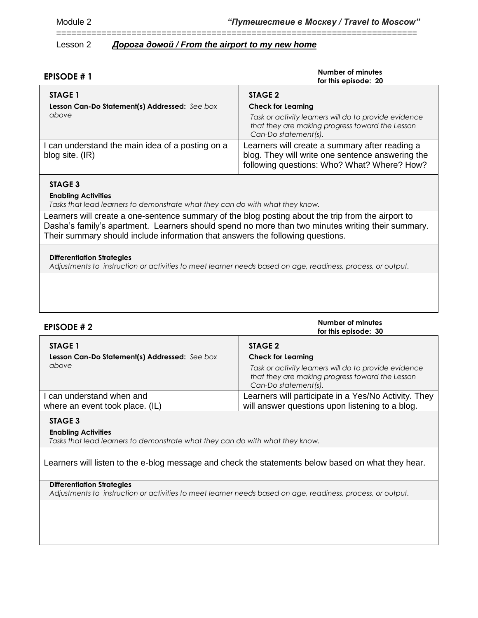========================================================================

# Lesson 2 *Дорога домой / From the airport to my new home*

| <b>EPISODE #1</b>                                                   | <b>Number of minutes</b><br>for this episode: 20                                                                                                                         |
|---------------------------------------------------------------------|--------------------------------------------------------------------------------------------------------------------------------------------------------------------------|
| STAGE 1<br>Lesson Can-Do Statement(s) Addressed: See box<br>above   | STAGE 2<br><b>Check for Learning</b><br>Task or activity learners will do to provide evidence<br>that they are making progress toward the Lesson<br>Can-Do statement(s). |
| I can understand the main idea of a posting on a<br>blog site. (IR) | Learners will create a summary after reading a<br>blog. They will write one sentence answering the<br>following questions: Who? What? Where? How?                        |

# **STAGE 3**

# **Enabling Activities**

*Tasks that lead learners to demonstrate what they can do with what they know.*

Learners will create a one-sentence summary of the blog posting about the trip from the airport to Dasha's family's apartment. Learners should spend no more than two minutes writing their summary. Their summary should include information that answers the following questions.

#### **Differentiation Strategies**

*Adjustments to instruction or activities to meet learner needs based on age, readiness, process, or output.*

| <b>EPISODE #2</b>                                                 | Number of minutes<br>for this episode: 30                                                                                                                                |
|-------------------------------------------------------------------|--------------------------------------------------------------------------------------------------------------------------------------------------------------------------|
| STAGE 1<br>Lesson Can-Do Statement(s) Addressed: See box<br>above | STAGE 2<br><b>Check for Learning</b><br>Task or activity learners will do to provide evidence<br>that they are making progress toward the Lesson<br>Can-Do statement(s). |
| I can understand when and<br>where an event took place. (IL)      | Learners will participate in a Yes/No Activity. They<br>will answer questions upon listening to a blog.                                                                  |

# **STAGE 3**

#### **Enabling Activities**

*Tasks that lead learners to demonstrate what they can do with what they know.*

Learners will listen to the e-blog message and check the statements below based on what they hear.

# **Differentiation Strategies**

*Adjustments to instruction or activities to meet learner needs based on age, readiness, process, or output.*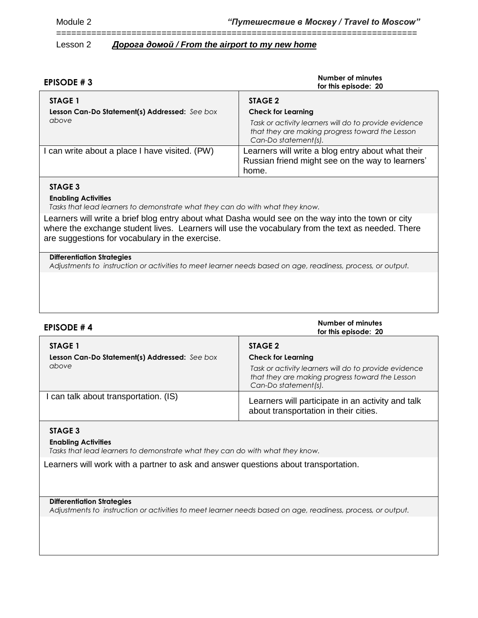# ========================================================================

# Lesson 2 *Дорога домой / From the airport to my new home*

| EPISODE #3                                               | Number of minutes<br>for this episode: 20                                                                                        |
|----------------------------------------------------------|----------------------------------------------------------------------------------------------------------------------------------|
| STAGE 1<br>Lesson Can-Do Statement(s) Addressed: See box | STAGE 2<br><b>Check for Learning</b>                                                                                             |
| above                                                    | Task or activity learners will do to provide evidence<br>that they are making progress toward the Lesson<br>Can-Do statement(s). |
| can write about a place I have visited. (PW)             | Learners will write a blog entry about what their<br>Russian friend might see on the way to learners'<br>home.                   |

# **STAGE 3**

#### **Enabling Activities**

*Tasks that lead learners to demonstrate what they can do with what they know.*

Learners will write a brief blog entry about what Dasha would see on the way into the town or city where the exchange student lives. Learners will use the vocabulary from the text as needed. There are suggestions for vocabulary in the exercise.

#### **Differentiation Strategies**

*Adjustments to instruction or activities to meet learner needs based on age, readiness, process, or output.*

| <b>EPISODE #4</b>                                      | Number of minutes<br>for this episode: 20                                                                                                                     |  |
|--------------------------------------------------------|---------------------------------------------------------------------------------------------------------------------------------------------------------------|--|
| STAGE 1                                                | STAGE 2                                                                                                                                                       |  |
| Lesson Can-Do Statement(s) Addressed: See box<br>above | <b>Check for Learning</b><br>Task or activity learners will do to provide evidence<br>that they are making progress toward the Lesson<br>Can-Do statement(s). |  |
| I can talk about transportation. (IS)                  | Learners will participate in an activity and talk<br>about transportation in their cities.                                                                    |  |

#### **STAGE 3**

#### **Enabling Activities**

*Tasks that lead learners to demonstrate what they can do with what they know.*

Learners will work with a partner to ask and answer questions about transportation.

## **Differentiation Strategies**

*Adjustments to instruction or activities to meet learner needs based on age, readiness, process, or output.*